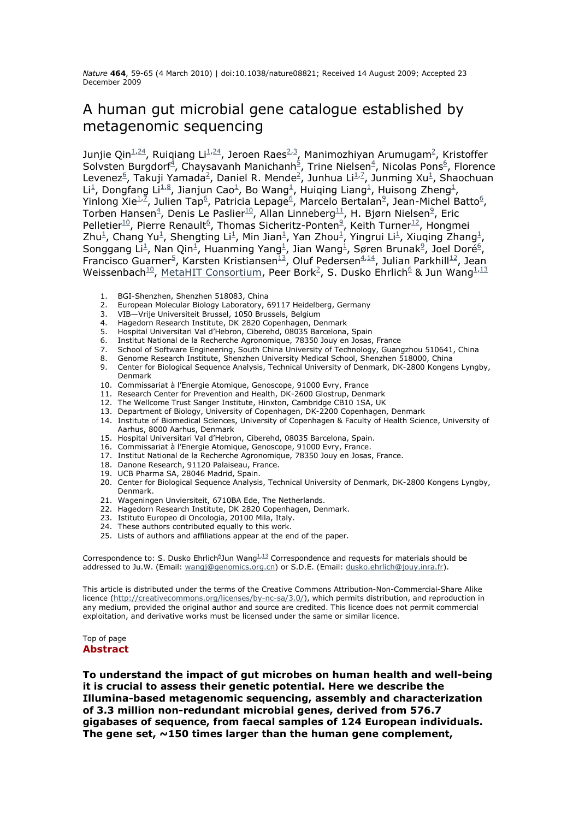*Nature* **464**, 59-65 (4 March 2010) | doi:10.1038/nature08821; Received 14 August 2009; Accepted 23 December 2009

## A human gut microbial gene catalogue established by metagenomic sequencing

Junjie Qin $\frac{1}{24}$ , Ruiqiang Li $\frac{1}{24}$ , Jeroen Raes<sup>2,3</sup>, Manimozhiyan Arumugam<sup>2</sup>, Kristoffer Solvsten Burgdorf<sup>4</sup>, Chaysavanh Manichanh<sup>5</sup>, Trine Nielsen<sup>4</sup>, Nicolas Pons<sup>6</sup>, Florence Levenez<sup>6</sup>, Takuji Yamada<sup>2</sup>, Daniel R. Mende<sup>2</sup>, Junhua Li<sup>1,7</sup>, Junming Xu<sup>1</sup>, Shaochuan Li<sup>1</sup>, Dongfang Li<sup>1,8</sup>, Jianjun Cao<sup>1</sup>, Bo Wang<sup>1</sup>, Huiqing Liang<sup>1</sup>, Huisong Zheng<sup>1</sup>, Yinlong Xie $^{1/2}$ , Julien Tap<sup>6</sup>, Patricia Lepage<sup>6</sup>, Marcelo Bertalan<sup>9</sup>, Jean-Michel Batto<sup>6</sup>, Torben Hansen $^4$ , Denis Le Paslier $^{10}$ , Allan Linneberg $^{11}$ , H. Bjørn Nielsen $^9$ , Eric Pelletier<sup>10</sup>, Pierre Renault<sup>6</sup>, Thomas Sicheritz-Ponten<sup>9</sup>, Keith Turner<sup>12</sup>, Hongmei Zhu<sup>1</sup>, Chang Yu<sup>1</sup>, Shengting Li<sup>1</sup>, Min Jian<sup>1</sup>, Yan Zhou<sup>1</sup>, Yingrui Li<sup>1</sup>, Xiuqing Zhang<sup>1</sup>, Songgang Li<sup>1</sup>, Nan Qin<sup>1</sup>, Huanming Yang<sup>1</sup>, Jian Wang<sup>1</sup>, Søren Brunak<sup>9</sup>, Joel Doré<sup>6</sup>, Francisco Guarner<sup>5</sup>, Karsten Kristiansen<sup>13</sup>, Oluf Pedersen<sup>4,14</sup>, Julian Parkhill<sup>12</sup>, Jean Weissenbach<sup>10</sup>, MetaHIT Consortium, Peer Bork<sup>2</sup>, S. Dusko Ehrlich<sup>6</sup> & Jun Wang<sup>1,13</sup>

- 1. BGI-Shenzhen, Shenzhen 518083, China
- 2. European Molecular Biology Laboratory, 69117 Heidelberg, Germany
- 3. VIB—Vrije Universiteit Brussel, 1050 Brussels, Belgium
- 4. Hagedorn Research Institute, DK 2820 Copenhagen, Denmark
- 5. Hospital Universitari Val d'Hebron, Ciberehd, 08035 Barcelona, Spain
- 
- 6. Institut National de la Recherche Agronomique, 78350 Jouy en Josas, France 7. School of Software Engineering, South China University of Technology, Guangzhou 510641, China
- 8. Genome Research Institute, Shenzhen University Medical School, Shenzhen 518000, China
- 9. Center for Biological Sequence Analysis, Technical University of Denmark, DK-2800 Kongens Lyngby, Denmark
- 10. Commissariat à l'Energie Atomique, Genoscope, 91000 Evry, France
- 11. Research Center for Prevention and Health, DK-2600 Glostrup, Denmark
- 12. The Wellcome Trust Sanger Institute, Hinxton, Cambridge CB10 1SA, UK
- 13. Department of Biology, University of Copenhagen, DK-2200 Copenhagen, Denmark
- 14. Institute of Biomedical Sciences, University of Copenhagen & Faculty of Health Science, University of Aarhus, 8000 Aarhus, Denmark
- 15. Hospital Universitari Val d'Hebron, Ciberehd, 08035 Barcelona, Spain.
- 16. Commissariat à l'Energie Atomique, Genoscope, 91000 Evry, France.
- 17. Institut National de la Recherche Agronomique, 78350 Jouy en Josas, France.
- 18. Danone Research, 91120 Palaiseau, France.
- 19. UCB Pharma SA, 28046 Madrid, Spain.
- 20. Center for Biological Sequence Analysis, Technical University of Denmark, DK-2800 Kongens Lyngby, Denmark.
- 21. Wageningen Unviersiteit, 6710BA Ede, The Netherlands.
- 22. Hagedorn Research Institute, DK 2820 Copenhagen, Denmark.
- 23. Istituto Europeo di Oncologia, 20100 Mila, Italy.
- 24. These authors contributed equally to this work.
- 25. Lists of authors and affiliations appear at the end of the paper.

Correspondence to: S. Dusko Ehrlich<sup>6</sup>Jun Wang<sup>1,13</sup> Correspondence and requests for materials should be addressed to Ju.W. (Email: wangj@genomics.org.cn) or S.D.E. (Email: dusko.ehrlich@jouy.inra.fr).

This article is distributed under the terms of the Creative Commons Attribution-Non-Commercial-Share Alike licence (http://creativecommons.org/licenses/by-nc-sa/3.0/), which permits distribution, and reproduction in any medium, provided the original author and source are credited. This licence does not permit commercial exploitation, and derivative works must be licensed under the same or similar licence.

## Top of page **Abstract**

**To understand the impact of gut microbes on human health and well-being it is crucial to assess their genetic potential. Here we describe the Illumina-based metagenomic sequencing, assembly and characterization of 3.3 million non-redundant microbial genes, derived from 576.7 gigabases of sequence, from faecal samples of 124 European individuals. The gene set, ~150 times larger than the human gene complement,**